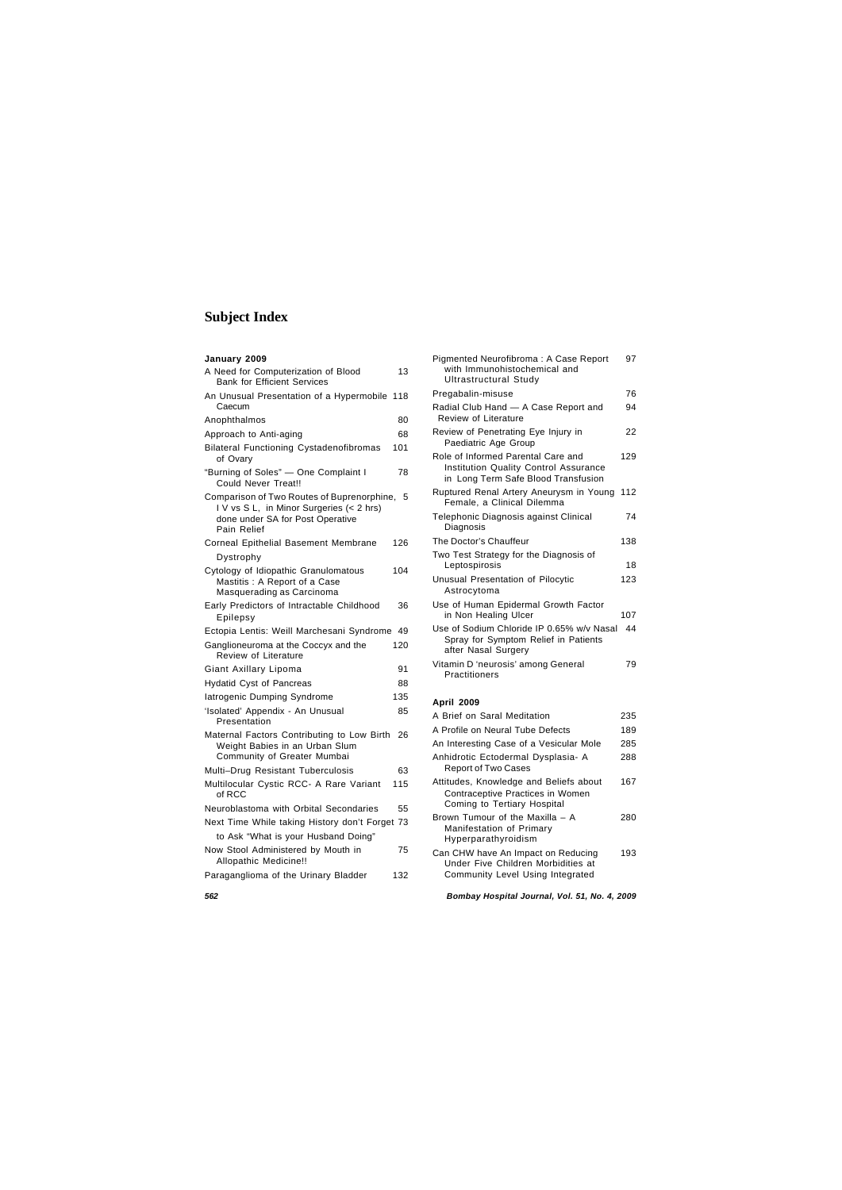| January 2009                                                                                                                            |     |
|-----------------------------------------------------------------------------------------------------------------------------------------|-----|
| A Need for Computerization of Blood<br><b>Bank for Efficient Services</b>                                                               | 13  |
| An Unusual Presentation of a Hypermobile 118<br>Caecum                                                                                  |     |
| Anophthalmos                                                                                                                            | 80  |
| Approach to Anti-aging                                                                                                                  | 68  |
| <b>Bilateral Functioning Cystadenofibromas</b><br>of Ovary                                                                              | 101 |
| "Burning of Soles" - One Complaint I<br>Could Never Treat!!                                                                             | 78  |
| Comparison of Two Routes of Buprenorphine,<br>IV vs SL, in Minor Surgeries (< 2 hrs)<br>done under SA for Post Operative<br>Pain Relief | 5   |
| Corneal Epithelial Basement Membrane                                                                                                    | 126 |
| Dystrophy                                                                                                                               |     |
| Cytology of Idiopathic Granulomatous<br>Mastitis: A Report of a Case<br>Masquerading as Carcinoma                                       | 104 |
| Early Predictors of Intractable Childhood<br>Epilepsy                                                                                   | 36  |
| Ectopia Lentis: Weill Marchesani Syndrome                                                                                               | 49  |
| Ganglioneuroma at the Coccyx and the<br><b>Review of Literature</b>                                                                     | 120 |
| Giant Axillary Lipoma                                                                                                                   | 91  |
| <b>Hydatid Cyst of Pancreas</b>                                                                                                         | 88  |
| latrogenic Dumping Syndrome                                                                                                             | 135 |
| 'Isolated' Appendix - An Unusual<br>Presentation                                                                                        | 85  |
| Maternal Factors Contributing to Low Birth<br>Weight Babies in an Urban Slum<br>Community of Greater Mumbai                             | 26  |
| Multi-Drug Resistant Tuberculosis                                                                                                       | 63  |
| Multilocular Cystic RCC- A Rare Variant<br>റf RCC                                                                                       | 115 |
| Neuroblastoma with Orbital Secondaries                                                                                                  | 55  |
| Next Time While taking History don't Forget 73                                                                                          |     |
| to Ask "What is your Husband Doing"                                                                                                     |     |
| Now Stool Administered by Mouth in<br>Allopathic Medicine!!                                                                             | 75  |
| Paraganglioma of the Urinary Bladder                                                                                                    | 132 |

| Pigmented Neurofibroma: A Case Report<br>with Immunohistochemical and<br><b>Ultrastructural Study</b>                     | 97  |
|---------------------------------------------------------------------------------------------------------------------------|-----|
| Pregabalin-misuse                                                                                                         | 76  |
| Radial Club Hand - A Case Report and<br><b>Review of Literature</b>                                                       | 94  |
| Review of Penetrating Eye Injury in<br>Paediatric Age Group                                                               | 22  |
| Role of Informed Parental Care and<br><b>Institution Quality Control Assurance</b><br>in Long Term Safe Blood Transfusion | 129 |
| Ruptured Renal Artery Aneurysm in Young<br>Female, a Clinical Dilemma                                                     | 112 |
| Telephonic Diagnosis against Clinical<br>Diagnosis                                                                        | 74  |
| The Doctor's Chauffeur                                                                                                    | 138 |
| Two Test Strategy for the Diagnosis of<br>Leptospirosis                                                                   | 18  |
| Unusual Presentation of Pilocytic<br>Astrocytoma                                                                          | 123 |
| Use of Human Epidermal Growth Factor<br>in Non Healing Ulcer                                                              | 107 |
| Use of Sodium Chloride IP 0.65% w/v Nasal<br>Spray for Symptom Relief in Patients<br>after Nasal Surgery                  | 44  |
| Vitamin D'neurosis' among General<br>Practitioners                                                                        | 79  |
| <b>April 2009</b>                                                                                                         |     |

| A Brief on Saral Meditation                                                                               | 235 |
|-----------------------------------------------------------------------------------------------------------|-----|
| A Profile on Neural Tube Defects                                                                          | 189 |
| An Interesting Case of a Vesicular Mole                                                                   | 285 |
| Anhidrotic Ectodermal Dysplasia- A<br><b>Report of Two Cases</b>                                          | 288 |
| Attitudes, Knowledge and Beliefs about<br>Contraceptive Practices in Women<br>Coming to Tertiary Hospital | 167 |
| Brown Tumour of the Maxilla - A<br>Manifestation of Primary<br>Hyperparathyroidism                        | 280 |
| Can CHW have An Impact on Reducing                                                                        | 193 |

Under Five Children Morbidities at Community Level Using Integrated

## **Subject Index**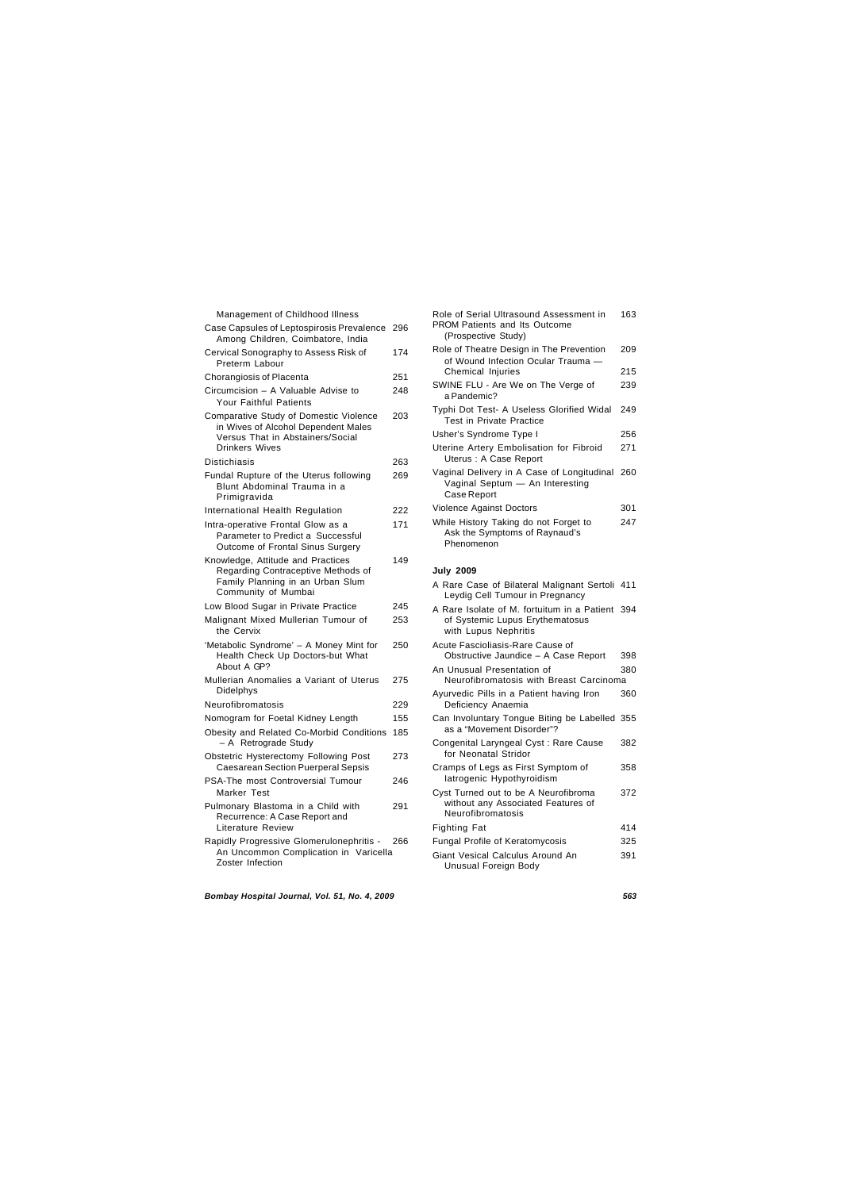| Management of Childhood Illness                                                                                                                   |     |
|---------------------------------------------------------------------------------------------------------------------------------------------------|-----|
| Case Capsules of Leptospirosis Prevalence<br>Among Children, Coimbatore, India                                                                    | 296 |
| Cervical Sonography to Assess Risk of<br>Preterm Labour                                                                                           | 174 |
| Chorangiosis of Placenta                                                                                                                          | 251 |
| Circumcision - A Valuable Advise to<br>Your Faithful Patients                                                                                     | 248 |
| <b>Comparative Study of Domestic Violence</b><br>in Wives of Alcohol Dependent Males<br>Versus That in Abstainers/Social<br><b>Drinkers Wives</b> | 203 |
| <b>Distichiasis</b>                                                                                                                               | 263 |
| Fundal Rupture of the Uterus following<br>Blunt Abdominal Trauma in a<br>Primigravida                                                             | 269 |
| International Health Regulation                                                                                                                   | 222 |
| Intra-operative Frontal Glow as a<br>Parameter to Predict a Successful<br>Outcome of Frontal Sinus Surgery                                        | 171 |
| Knowledge, Attitude and Practices<br>Regarding Contraceptive Methods of<br>Family Planning in an Urban Slum<br>Community of Mumbai                | 149 |
| Low Blood Sugar in Private Practice                                                                                                               | 245 |
| Malignant Mixed Mullerian Tumour of<br>the Cervix                                                                                                 | 253 |
| 'Metabolic Syndrome' - A Money Mint for<br>Health Check Up Doctors-but What<br>About A GP?                                                        | 250 |
| Mullerian Anomalies a Variant of Uterus<br>Didelphys                                                                                              | 275 |
| Neurofibromatosis                                                                                                                                 | 229 |
| Nomogram for Foetal Kidney Length                                                                                                                 | 155 |
| Obesity and Related Co-Morbid Conditions<br>- A Retrograde Study                                                                                  | 185 |
| <b>Obstetric Hysterectomy Following Post</b><br><b>Caesarean Section Puerperal Sepsis</b>                                                         | 273 |
| PSA-The most Controversial Tumour<br>Marker Test                                                                                                  | 246 |
| Pulmonary Blastoma in a Child with<br>Recurrence: A Case Report and<br>Literature Review                                                          | 291 |
| Rapidly Progressive Glomerulonephritis -<br>An Uncommon Complication in Varicella<br>Zoster Infection                                             | 266 |

| Role of Serial Ultrasound Assessment in<br>PROM Patients and Its Outcome<br>(Prospective Study)            | 163 |
|------------------------------------------------------------------------------------------------------------|-----|
| Role of Theatre Design in The Prevention<br>of Wound Infection Ocular Trauma -                             | 209 |
| Chemical Injuries                                                                                          | 215 |
| SWINE FLU - Are We on The Verge of<br>a Pandemic?                                                          | 239 |
| Typhi Dot Test- A Useless Glorified Widal<br><b>Test in Private Practice</b>                               | 249 |
| Usher's Syndrome Type I                                                                                    | 256 |
| Uterine Artery Embolisation for Fibroid<br>Uterus : A Case Report                                          | 271 |
| Vaginal Delivery in A Case of Longitudinal<br>Vaginal Septum - An Interesting<br>Case Report               | 260 |
| <b>Violence Against Doctors</b>                                                                            | 301 |
| While History Taking do not Forget to<br>Ask the Symptoms of Raynaud's<br>Phenomenon                       | 247 |
| <b>July 2009</b>                                                                                           |     |
| A Rare Case of Bilateral Malignant Sertoli<br>Leydig Cell Tumour in Pregnancy                              | 411 |
| A Rare Isolate of M. fortuitum in a Patient 394<br>of Systemic Lupus Erythematosus<br>with Lupus Nephritis |     |
| Acute Fascioliasis-Rare Cause of<br>Obstructive Jaundice - A Case Report                                   | 398 |
| An Unusual Presentation of<br>Neurofibromatosis with Breast Carcinoma                                      | 380 |
| Ayurvedic Pills in a Patient having Iron                                                                   | 360 |

| Leydig Cell Tumour in Pregnancy                                                                            |     |
|------------------------------------------------------------------------------------------------------------|-----|
| A Rare Isolate of M. fortuitum in a Patient 394<br>of Systemic Lupus Erythematosus<br>with Lupus Nephritis |     |
| Acute Fascioliasis-Rare Cause of<br>Obstructive Jaundice - A Case Report                                   | 398 |
| An Unusual Presentation of<br>Neurofibromatosis with Breast Carcinoma                                      | 380 |
| Ayurvedic Pills in a Patient having Iron<br>Deficiency Anaemia                                             | 360 |
| Can Involuntary Tongue Biting be Labelled 355<br>as a "Movement Disorder"?                                 |     |
| Congenital Laryngeal Cyst: Rare Cause<br>for Neonatal Stridor                                              | 382 |
| Cramps of Legs as First Symptom of<br>latrogenic Hypothyroidism                                            | 358 |
| Cyst Turned out to be A Neurofibroma<br>without any Associated Features of<br>Neurofibromatosis            | 372 |
| Fighting Fat                                                                                               | 414 |
| Fungal Profile of Keratomycosis                                                                            | 325 |
| Giant Vesical Calculus Around An<br>Unusual Foreign Body                                                   | 391 |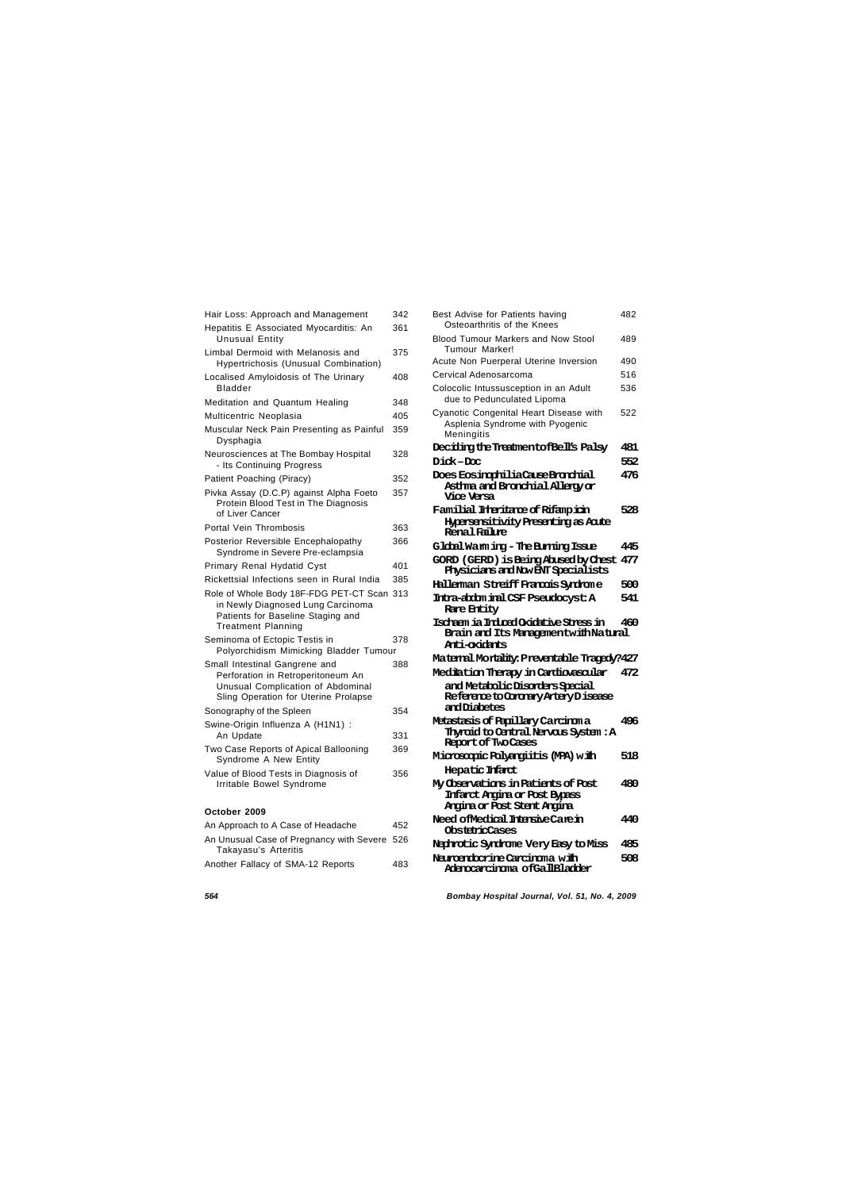## *564 Bombay Hospital Journal, Vol. 51, No. 4, 2009*

| Hair Loss: Approach and Management                                                                                                                | 342 |
|---------------------------------------------------------------------------------------------------------------------------------------------------|-----|
| Hepatitis E Associated Myocarditis: An                                                                                                            | 361 |
| <b>Unusual Entity</b>                                                                                                                             |     |
| Limbal Dermoid with Melanosis and                                                                                                                 | 375 |
| Hypertrichosis (Unusual Combination)                                                                                                              |     |
| Localised Amyloidosis of The Urinary<br>Bladder                                                                                                   | 408 |
| Meditation and Quantum Healing                                                                                                                    | 348 |
| Multicentric Neoplasia                                                                                                                            | 405 |
| Muscular Neck Pain Presenting as Painful<br>Dysphagia                                                                                             | 359 |
| Neurosciences at The Bombay Hospital<br>- Its Continuing Progress                                                                                 | 328 |
| Patient Poaching (Piracy)                                                                                                                         | 352 |
| Pivka Assay (D.C.P) against Alpha Foeto<br>Protein Blood Test in The Diagnosis<br>of Liver Cancer                                                 | 357 |
| Portal Vein Thrombosis                                                                                                                            | 363 |
| Posterior Reversible Encephalopathy<br>Syndrome in Severe Pre-eclampsia                                                                           | 366 |
| <b>Primary Renal Hydatid Cyst</b>                                                                                                                 | 401 |
| Rickettsial Infections seen in Rural India                                                                                                        | 385 |
| Role of Whole Body 18F-FDG PET-CT Scan 313<br>in Newly Diagnosed Lung Carcinoma<br>Patients for Baseline Staging and<br><b>Treatment Planning</b> |     |
| Seminoma of Ectopic Testis in<br>Polyorchidism Mimicking Bladder Tumour                                                                           | 378 |
| Small Intestinal Gangrene and<br>Perforation in Retroperitoneum An<br>Unusual Complication of Abdominal<br>Sling Operation for Uterine Prolapse   | 388 |
| Sonography of the Spleen                                                                                                                          | 354 |
| Swine-Origin Influenza A (H1N1) :<br>An Update                                                                                                    | 331 |
| Two Case Reports of Apical Ballooning<br>Syndrome A New Entity                                                                                    | 369 |
| Value of Blood Tests in Diagnosis of<br>Irritable Bowel Syndrome                                                                                  | 356 |
| October 2009                                                                                                                                      |     |
| An Approach to A Case of Headache                                                                                                                 | 452 |

An Unusual Case of Pregnancy with Severe 526

Another Fallacy of SMA-12 Reports 483

Takayasu's Arteritis

| Osteoarthritis of the Knees                                                                                |     |
|------------------------------------------------------------------------------------------------------------|-----|
| <b>Blood Tumour Markers and Now Stool</b><br><b>Tumour Marker!</b>                                         | 489 |
| Acute Non Puerperal Uterine Inversion                                                                      | 490 |
| Cervical Adenosarcoma                                                                                      | 516 |
| Colocolic Intussusception in an Adult<br>due to Pedunculated Lipoma                                        | 536 |
| Cyanotic Congenital Heart Disease with<br>Asplenia Syndrome with Pyogenic<br>Meningitis                    | 522 |
| Deciding the TreatmentofBell's Palsy                                                                       | 481 |
| Dick-Doc                                                                                                   | 552 |
| Does EosinghiliaCarseBronhial<br>Asthma and Bronchial Allergy or<br>Vice Versa                             | 476 |
| Familial Interitane of Rifampion<br><b>Hypersensitivity Presenting as Acute</b><br>Renal Failure           | 528 |
| Global Warm ing – The Burning Issue                                                                        | 445 |
| GORD (GERD) is Being Abused by Chest 477<br><b>Physicians and Nov ENT Specialists</b>                      |     |
| Halleman Streiff Francis Synhome                                                                           | 500 |
| Intra-abdom inal CSF Pseudocyst: A<br><b>Rare Entity</b>                                                   | 541 |
| Ischaem ia Induced Oxidative Stress in<br>Brain and Its Managamentwith Natural<br>Anti-oxidants            | 460 |
| Maternal Montality: Preventable Tragedy?427                                                                |     |
| Mediation Therapy in Cardiovascular                                                                        | 472 |
| and Metabolic Disorders Special<br>Reference to Coronary Artery Disease<br>andDiabetes                     |     |
| Metastasis of Papillary Carcinoma<br>Thyroid to Central Nervous System : A<br><b>Report of Two Cases</b>   | 496 |
| Microsopic Polyangiitis (MPA) with                                                                         | 518 |
| Hepatic Infarct                                                                                            |     |
| My Chservations in Patients of Post<br><b>Infarct Angina or Post Bypass</b><br>Angina or Post Stent Angina | 480 |
| Need of Medical Intensive Care in<br><b>ObstetricCases</b>                                                 | 440 |
| Nephrotic Syndrome Very Easy to Miss                                                                       | 485 |
| Neuroendocrine Carcinoma with<br>Adenocarcinoma of Gall Blacker                                            | 508 |

Best Advise for Patients having 482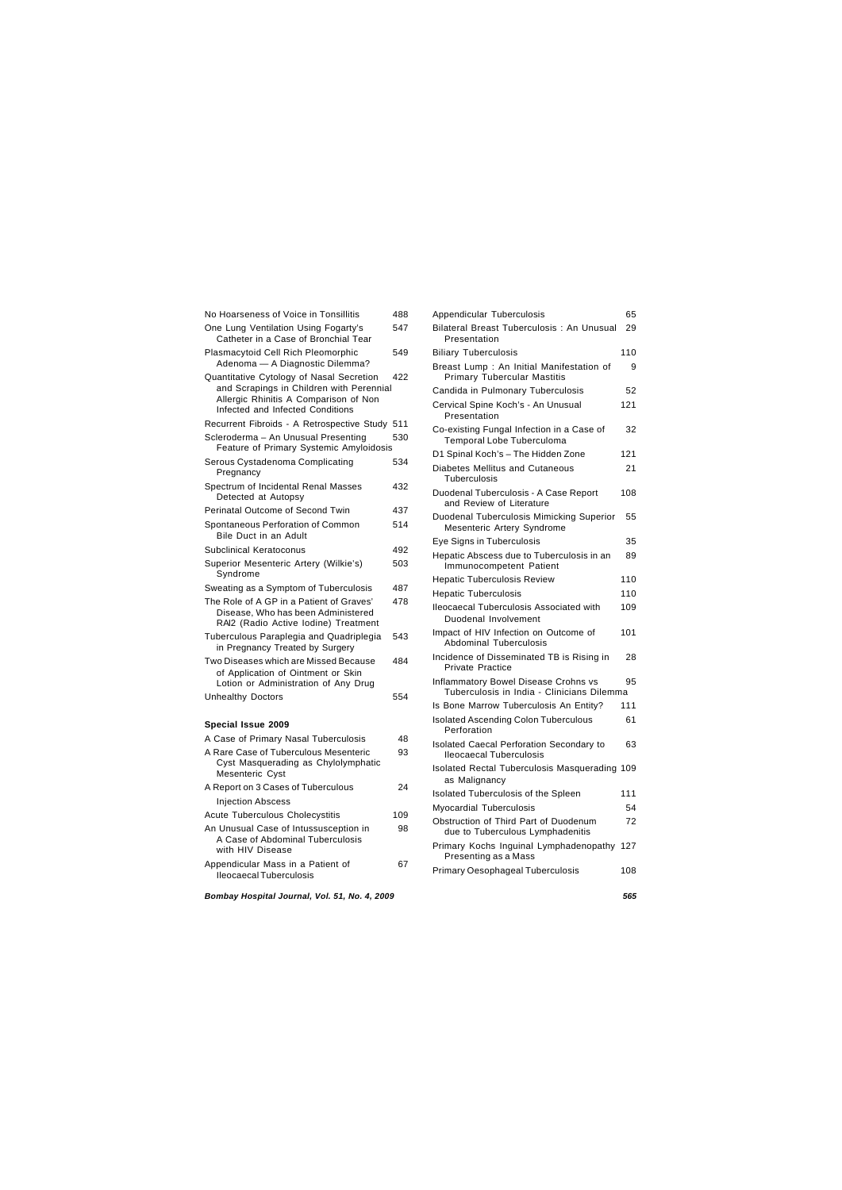## *Bombay Hospital Journal, Vol. 51, No. 4, 2009 565*

Appendicular Mass in a Patient of 67

| No Hoarseness of Voice in Tonsillitis                                                                                                                             | 488 |
|-------------------------------------------------------------------------------------------------------------------------------------------------------------------|-----|
| One Lung Ventilation Using Fogarty's<br>Catheter in a Case of Bronchial Tear                                                                                      | 547 |
| Plasmacytoid Cell Rich Pleomorphic<br>Adenoma - A Diagnostic Dilemma?                                                                                             | 549 |
| Quantitative Cytology of Nasal Secretion<br>and Scrapings in Children with Perennial<br>Allergic Rhinitis A Comparison of Non<br>Infected and Infected Conditions | 422 |
| Recurrent Fibroids - A Retrospective Study                                                                                                                        | 511 |
| Scleroderma - An Unusual Presenting<br>Feature of Primary Systemic Amyloidosis                                                                                    | 530 |
| Serous Cystadenoma Complicating<br>Pregnancy                                                                                                                      | 534 |
| Spectrum of Incidental Renal Masses<br>Detected at Autopsy                                                                                                        | 432 |
| <b>Perinatal Outcome of Second Twin</b>                                                                                                                           | 437 |
| Spontaneous Perforation of Common<br>Bile Duct in an Adult                                                                                                        | 514 |
| <b>Subclinical Keratoconus</b>                                                                                                                                    | 492 |
| Superior Mesenteric Artery (Wilkie's)<br>Syndrome                                                                                                                 | 503 |
| Sweating as a Symptom of Tuberculosis                                                                                                                             | 487 |
| The Role of A GP in a Patient of Graves'<br>Disease, Who has been Administered<br>RAI2 (Radio Active Iodine) Treatment                                            | 478 |
| Tuberculous Paraplegia and Quadriplegia<br>in Pregnancy Treated by Surgery                                                                                        | 543 |
| Two Diseases which are Missed Because<br>of Application of Ointment or Skin<br>Lotion or Administration of Any Drug                                               | 484 |
| <b>Unhealthy Doctors</b>                                                                                                                                          | 554 |
| Special Issue 2009                                                                                                                                                |     |
| A Case of Primary Nasal Tuberculosis                                                                                                                              | 48  |
| A Rare Case of Tuberculous Mesenteric<br>Cyst Masquerading as Chylolymphatic<br>Mesenteric Cyst                                                                   | 93  |
| A Report on 3 Cases of Tuberculous                                                                                                                                | 24  |
| <b>Injection Abscess</b>                                                                                                                                          |     |
| Acute Tuberculous Cholecystitis                                                                                                                                   | 109 |
| An Unusual Case of Intussusception in                                                                                                                             | 98  |

| Appendicular Tuberculosis                                                          | 65  |
|------------------------------------------------------------------------------------|-----|
| Bilateral Breast Tuberculosis: An Unusual<br>Presentation                          | 29  |
| <b>Biliary Tuberculosis</b>                                                        | 110 |
| Breast Lump: An Initial Manifestation of<br>Primary Tubercular Mastitis            | 9   |
| Candida in Pulmonary Tuberculosis                                                  | 52  |
| Cervical Spine Koch's - An Unusual<br>Presentation                                 | 121 |
| Co-existing Fungal Infection in a Case of<br>Temporal Lobe Tuberculoma             | 32  |
| D1 Spinal Koch's - The Hidden Zone                                                 | 121 |
| Diabetes Mellitus and Cutaneous<br>Tuberculosis                                    | 21  |
| Duodenal Tuberculosis - A Case Report<br>and Review of Literature                  | 108 |
| Duodenal Tuberculosis Mimicking Superior<br>Mesenteric Artery Syndrome             | 55  |
| Eye Signs in Tuberculosis                                                          | 35  |
| Hepatic Abscess due to Tuberculosis in an<br>Immunocompetent Patient               | 89  |
| <b>Hepatic Tuberculosis Review</b>                                                 | 110 |
| <b>Hepatic Tuberculosis</b>                                                        | 110 |
| <b>Ileocaecal Tuberculosis Associated with</b><br>Duodenal Involvement             | 109 |
| Impact of HIV Infection on Outcome of<br><b>Abdominal Tuberculosis</b>             | 101 |
| Incidence of Disseminated TB is Rising in<br><b>Private Practice</b>               | 28  |
| Inflammatory Bowel Disease Crohns vs<br>Tuberculosis in India - Clinicians Dilemma | 95  |
| Is Bone Marrow Tuberculosis An Entity?                                             | 111 |
| <b>Isolated Ascending Colon Tuberculous</b><br>Perforation                         | 61  |
| Isolated Caecal Perforation Secondary to<br>Ileocaecal Tuberculosis                | 63  |
| Isolated Rectal Tuberculosis Masquerading 109<br>as Malignancy                     |     |
| Isolated Tuberculosis of the Spleen                                                | 111 |
| <b>Myocardial Tuberculosis</b>                                                     | 54  |
| Obstruction of Third Part of Duodenum<br>due to Tuberculous Lymphadenitis          | 72  |
| Primary Kochs Inguinal Lymphadenopathy<br>Presenting as a Mass                     | 127 |
| <b>Primary Oesophageal Tuberculosis</b>                                            | 108 |

A Case of Abdominal Tuberculosis

with HIV Disease

Ileocaecal Tuberculosis